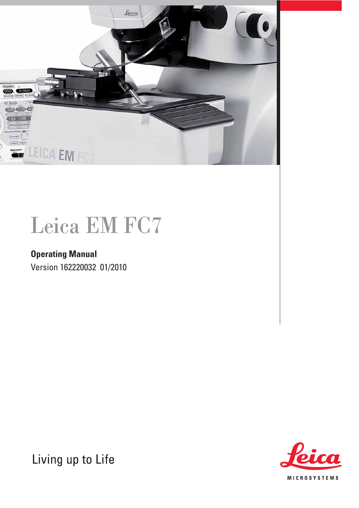

## Leica EM FC7

## **Operating Manual**  Version 162220032 01/2010

**MICROSYSTEMS** 

Living up to Life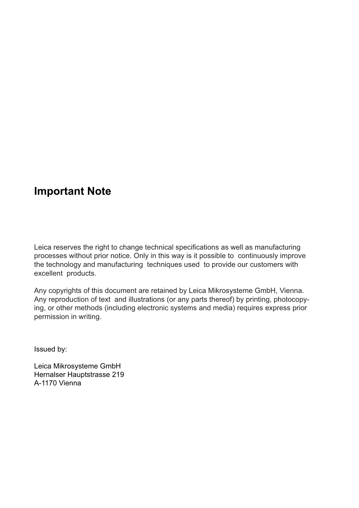## **Important Note**

Leica reserves the right to change technical specifications as well as manufacturing processes without prior notice. Only in this way is it possible to continuously improve the technology and manufacturing techniques used to provide our customers with excellent products.

Any copyrights of this document are retained by Leica Mikrosysteme GmbH, Vienna. Any reproduction of text and illustrations (or any parts thereof) by printing, photocopying, or other methods (including electronic systems and media) requires express prior permission in writing.

Issued by:

Leica Mikrosysteme GmbH Hernalser Hauptstrasse 219 A-1170 Vienna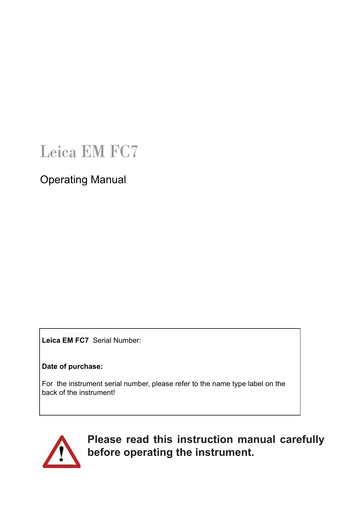## Leica EM FC7

Operating Manual

 **Leica EM FC7** Serial Number:

 **Date of purchase:** 

 For the instrument serial number, please refer to the name type label on the back of the instrument!



**Please read this instruction manual carefully before operating the instrument.**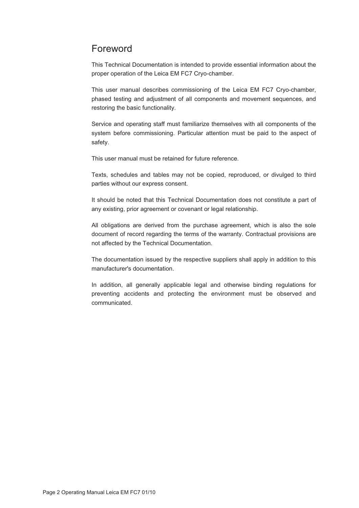### Foreword

This Technical Documentation is intended to provide essential information about the proper operation of the Leica EM FC7 Cryo-chamber.

This user manual describes commissioning of the Leica EM FC7 Cryo-chamber, phased testing and adjustment of all components and movement sequences, and restoring the basic functionality.

Service and operating staff must familiarize themselves with all components of the system before commissioning. Particular attention must be paid to the aspect of safety.

This user manual must be retained for future reference.

Texts, schedules and tables may not be copied, reproduced, or divulged to third parties without our express consent.

It should be noted that this Technical Documentation does not constitute a part of any existing, prior agreement or covenant or legal relationship.

All obligations are derived from the purchase agreement, which is also the sole document of record regarding the terms of the warranty. Contractual provisions are not affected by the Technical Documentation.

The documentation issued by the respective suppliers shall apply in addition to this manufacturer's documentation.

In addition, all generally applicable legal and otherwise binding regulations for preventing accidents and protecting the environment must be observed and communicated.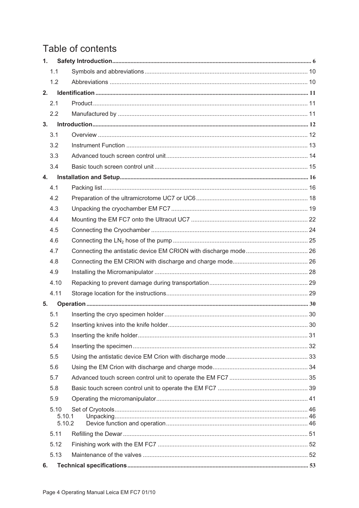## Table of contents

| 1. |                          |  |
|----|--------------------------|--|
|    | 1.1                      |  |
|    | 1.2                      |  |
| 2. |                          |  |
|    | 2.1                      |  |
|    | 2.2                      |  |
| 3. |                          |  |
|    | 3.1                      |  |
|    | 3.2                      |  |
|    | 3.3                      |  |
|    | 3.4                      |  |
| 4. |                          |  |
|    | 4.1                      |  |
|    | 4.2                      |  |
|    | 4.3                      |  |
|    | 4.4                      |  |
|    | 4.5                      |  |
|    | 4.6                      |  |
|    | 4.7                      |  |
|    | 4.8                      |  |
|    | 4.9                      |  |
|    | 4.10                     |  |
|    | 4.11                     |  |
| 5. |                          |  |
|    | 5.1                      |  |
|    | $5.2\,$                  |  |
|    | 5.3                      |  |
|    | 5.4                      |  |
|    | 5.5                      |  |
|    | 5.6                      |  |
|    | 5.7                      |  |
|    | 5.8                      |  |
|    | 5.9                      |  |
|    | 5.10<br>5.10.1<br>5.10.2 |  |
|    | 5.11                     |  |
|    | 5.12                     |  |
|    | 5.13                     |  |
| 6. |                          |  |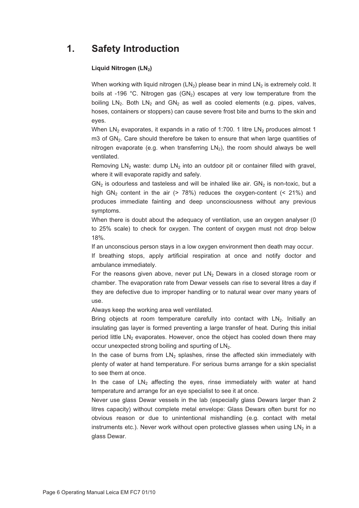### **1. Safety Introduction**

#### Liquid Nitrogen (LN<sub>2</sub>)

When working with liquid nitrogen  $(LN_2)$  please bear in mind  $LN_2$  is extremely cold. It boils at -196 °C. Nitrogen gas  $(GN_2)$  escapes at very low temperature from the boiling  $LN_2$ . Both  $LN_2$  and  $GN_2$  as well as cooled elements (e.g. pipes, valves, hoses, containers or stoppers) can cause severe frost bite and burns to the skin and eyes.

When  $LN_2$  evaporates, it expands in a ratio of 1:700. 1 litre  $LN_2$  produces almost 1 m3 of  $GN_2$ . Care should therefore be taken to ensure that when large quantities of nitrogen evaporate (e.g. when transferring  $LN<sub>2</sub>$ ), the room should always be well ventilated.

Removing  $LN_2$  waste: dump  $LN_2$  into an outdoor pit or container filled with gravel, where it will evaporate rapidly and safely.

 $GN<sub>2</sub>$  is odourless and tasteless and will be inhaled like air.  $GN<sub>2</sub>$  is non-toxic, but a high GN<sub>2</sub> content in the air (> 78%) reduces the oxygen-content (< 21%) and produces immediate fainting and deep unconsciousness without any previous symptoms.

When there is doubt about the adequacy of ventilation, use an oxygen analyser (0) to 25% scale) to check for oxygen. The content of oxygen must not drop below 18%.

If an unconscious person stays in a low oxygen environment then death may occur.

If breathing stops, apply artificial respiration at once and notify doctor and ambulance immediately.

For the reasons given above, never put  $LN<sub>2</sub>$  Dewars in a closed storage room or chamber. The evaporation rate from Dewar vessels can rise to several litres a day if they are defective due to improper handling or to natural wear over many years of use.

Always keep the working area well ventilated.

Bring objects at room temperature carefully into contact with  $LN<sub>2</sub>$ . Initially an insulating gas layer is formed preventing a large transfer of heat. During this initial period little  $LN<sub>2</sub>$  evaporates. However, once the object has cooled down there may occur unexpected strong boiling and spurting of LN<sub>2</sub>.

In the case of burns from  $LN_2$  splashes, rinse the affected skin immediately with plenty of water at hand temperature. For serious burns arrange for a skin specialist to see them at once.

In the case of  $LN<sub>2</sub>$  affecting the eyes, rinse immediately with water at hand temperature and arrange for an eye specialist to see it at once.

Never use glass Dewar vessels in the lab (especially glass Dewars larger than 2 litres capacity) without complete metal envelope: Glass Dewars often burst for no obvious reason or due to unintentional mishandling (e.g. contact with metal instruments etc.). Never work without open protective glasses when using  $LN<sub>2</sub>$  in a glass Dewar.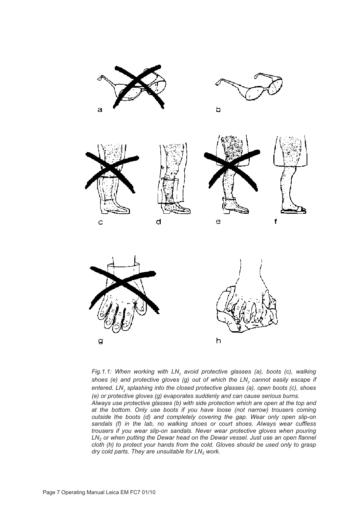

Fig.1.1: When working with LN<sub>2</sub> avoid protective glasses (a), boots (c), walking shoes (e) and protective gloves (g) out of which the LN<sub>2</sub> cannot easily escape if entered. LN<sub>2</sub> splashing into the closed protective glasses (a), open boots (c), shoes *(e) or protective gloves (g) evaporates suddenly and can cause serious burns.* 

*Always use protective glasses (b) with side protection which are open at the top and at the bottom. Only use boots if you have loose (not narrow) trousers coming outside the boots (d) and completely covering the gap. Wear only open slip-on sandals (f) in the lab, no walking shoes or court shoes. Always wear cuffless trousers if you wear slip-on sandals. Never wear protective gloves when pouring LN2 or when putting the Dewar head on the Dewar vessel. Just use an open flannel cloth (h) to protect your hands from the cold. Gloves should be used only to grasp*  dry cold parts. They are unsuitable for LN<sub>2</sub> work.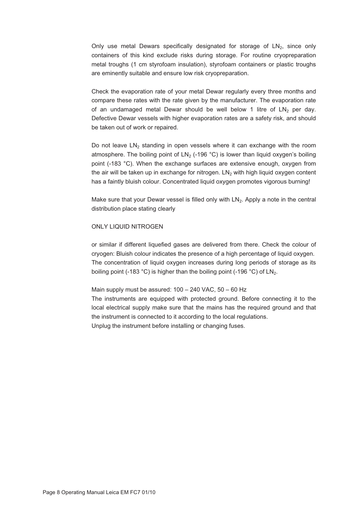Only use metal Dewars specifically designated for storage of  $LN<sub>2</sub>$ , since only containers of this kind exclude risks during storage. For routine cryopreparation metal troughs (1 cm styrofoam insulation), styrofoam containers or plastic troughs are eminently suitable and ensure low risk cryopreparation.

Check the evaporation rate of your metal Dewar regularly every three months and compare these rates with the rate given by the manufacturer. The evaporation rate of an undamaged metal Dewar should be well below 1 litre of  $LN_2$  per day. Defective Dewar vessels with higher evaporation rates are a safety risk, and should be taken out of work or repaired.

Do not leave  $LN<sub>2</sub>$  standing in open vessels where it can exchange with the room atmosphere. The boiling point of  $LN<sub>2</sub>$  (-196 °C) is lower than liquid oxygen's boiling point (-183 °C). When the exchange surfaces are extensive enough, oxygen from the air will be taken up in exchange for nitrogen.  $LN<sub>2</sub>$  with high liquid oxygen content has a faintly bluish colour. Concentrated liquid oxygen promotes vigorous burning!

Make sure that your Dewar vessel is filled only with  $LN_2$ . Apply a note in the central distribution place stating clearly

#### ONLY LIQUID NITROGEN

or similar if different liquefied gases are delivered from there. Check the colour of cryogen: Bluish colour indicates the presence of a high percentage of liquid oxygen. The concentration of liquid oxygen increases during long periods of storage as its boiling point (-183 °C) is higher than the boiling point (-196 °C) of  $LN_2$ .

#### Main supply must be assured: 100 – 240 VAC, 50 – 60 Hz

The instruments are equipped with protected ground. Before connecting it to the local electrical supply make sure that the mains has the required ground and that the instrument is connected to it according to the local regulations. Unplug the instrument before installing or changing fuses.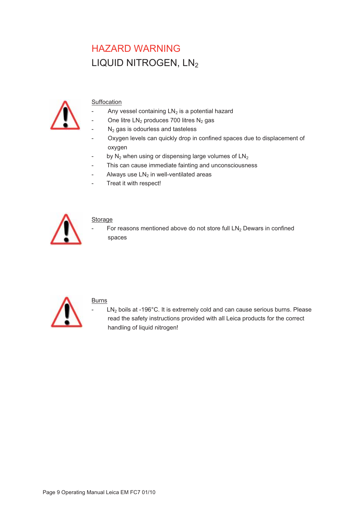## HAZARD WARNING LIQUID NITROGEN, LN2



#### **Suffocation**

- Any vessel containing  $LN<sub>2</sub>$  is a potential hazard
- One litre  $LN<sub>2</sub>$  produces 700 litres  $N<sub>2</sub>$  gas
- $N<sub>2</sub>$  gas is odourless and tasteless
- Oxygen levels can quickly drop in confined spaces due to displacement of oxygen
- by  $N_2$  when using or dispensing large volumes of  $LN_2$
- This can cause immediate fainting and unconsciousness
- Always use  $LN<sub>2</sub>$  in well-ventilated areas
- Treat it with respect!



#### **Storage**

For reasons mentioned above do not store full  $LN<sub>2</sub>$  Dewars in confined spaces



#### Burns

 $LN<sub>2</sub>$  boils at -196°C. It is extremely cold and can cause serious burns. Please read the safety instructions provided with all Leica products for the correct handling of liquid nitrogen!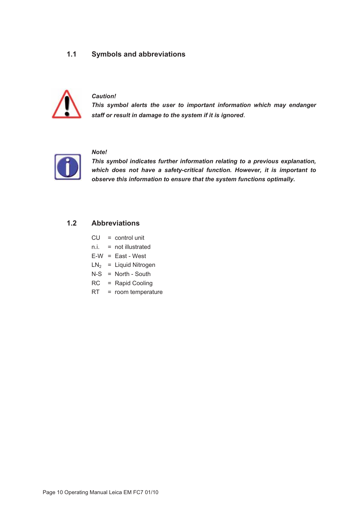#### **1.1 Symbols and abbreviations**



#### *Caution!*

*This symbol alerts the user to important information which may endanger staff or result in damage to the system if it is ignored*.



#### *Note!*

*This symbol indicates further information relating to a previous explanation, which does not have a safety-critical function. However, it is important to observe this information to ensure that the system functions optimally.* 

#### **1.2 Abbreviations**

| CU   | $=$ control unit    |  |
|------|---------------------|--|
| n.i. | $=$ not illustrated |  |

- $E-W = East West$
- $LN<sub>2</sub> = Liquid Nitrogen$
- N-S = North South
- RC = Rapid Cooling
- RT = room temperature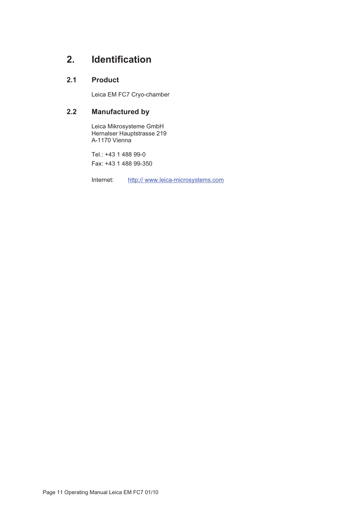## **2. Identification**

#### **2.1 Product**

Leica EM FC7 Cryo-chamber

#### **2.2 Manufactured by**

Leica Mikrosysteme GmbH Hernalser Hauptstrasse 219 A-1170 Vienna

Tel.: +43 1 488 99-0 Fax: +43 1 488 99-350

Internet: http:// www.leica-microsystems.com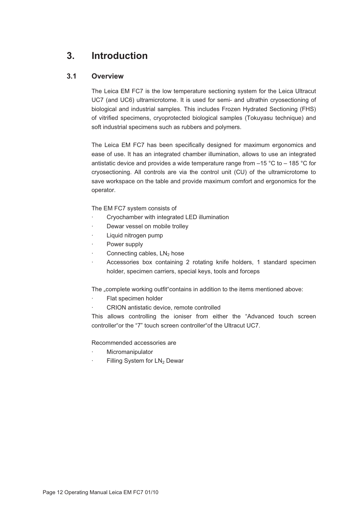## **3. Introduction**

#### **3.1 Overview**

The Leica EM FC7 is the low temperature sectioning system for the Leica Ultracut UC7 (and UC6) ultramicrotome. It is used for semi- and ultrathin cryosectioning of biological and industrial samples. This includes Frozen Hydrated Sectioning (FHS) of vitrified specimens, cryoprotected biological samples (Tokuyasu technique) and soft industrial specimens such as rubbers and polymers.

The Leica EM FC7 has been specifically designed for maximum ergonomics and ease of use. It has an integrated chamber illumination, allows to use an integrated antistatic device and provides a wide temperature range from –15 °C to – 185 °C for cryosectioning. All controls are via the control unit (CU) of the ultramicrotome to save workspace on the table and provide maximum comfort and ergonomics for the operator.

The EM FC7 system consists of

- · Cryochamber with integrated LED illumination
- Dewar vessel on mobile trolley
- Liquid nitrogen pump
- Power supply
- Connecting cables,  $LN<sub>2</sub>$  hose
- Accessories box containing 2 rotating knife holders, 1 standard specimen holder, specimen carriers, special keys, tools and forceps

The "complete working outfit"contains in addition to the items mentioned above:

- Flat specimen holder
- · CRION antistatic device, remote controlled

This allows controlling the ioniser from either the "Advanced touch screen controller"or the "7" touch screen controller"of the Ultracut UC7.

Recommended accessories are

- **Micromanipulator**
- Filling System for LN<sub>2</sub> Dewar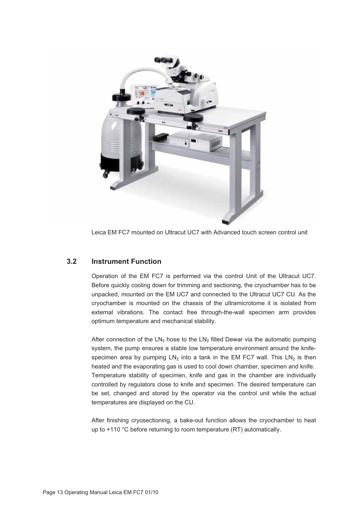

Leica EM FC7 mounted on Ultracut UC7 with Advanced touch screen control unit

#### **3.2 Instrument Function**

Operation of the EM FC7 is performed via the control Unit of the Ultracut UC7. Before quickly cooling down for trimming and sectioning, the cryochamber has to be unpacked, mounted on the EM UC7 and connected to the Ultracut UC7 CU. As the cryochamber is mounted on the chassis of the ultramicrotome it is isolated from external vibrations. The contact free through-the-wall specimen arm provides optimum temperature and mechanical stability.

After connection of the  $LN_2$  hose to the  $LN_2$  filled Dewar via the automatic pumping system, the pump ensures a stable low temperature environment around the knifespecimen area by pumping  $LN<sub>2</sub>$  into a tank in the EM FC7 wall. This  $LN<sub>2</sub>$  is then heated and the evaporating gas is used to cool down chamber, specimen and knife. Temperature stability of specimen, knife and gas in the chamber are individually controlled by regulators close to knife and specimen. The desired temperature can be set, changed and stored by the operator via the control unit while the actual temperatures are displayed on the CU.

After finishing cryosectioning, a bake-out function allows the cryochamber to heat up to +110 °C before returning to room temperature (RT) automatically.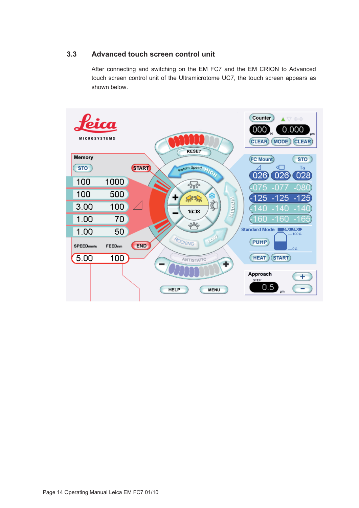#### **3.3 Advanced touch screen control unit**

After connecting and switching on the EM FC7 and the EM CRION to Advanced touch screen control unit of the Ultramicrotome UC7, the touch screen appears as shown below.

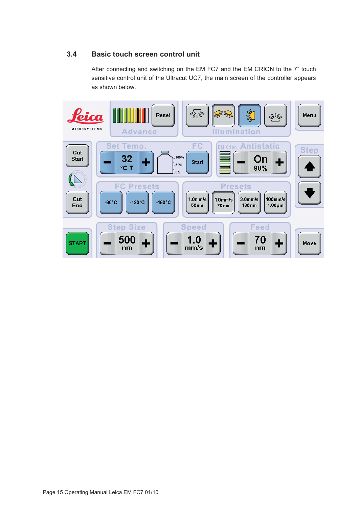#### **3.4 Basic touch screen control unit**

After connecting and switching on the EM FC7 and the EM CRION to the 7" touch sensitive control unit of the Ultracut UC7, the main screen of the controller appears as shown below.

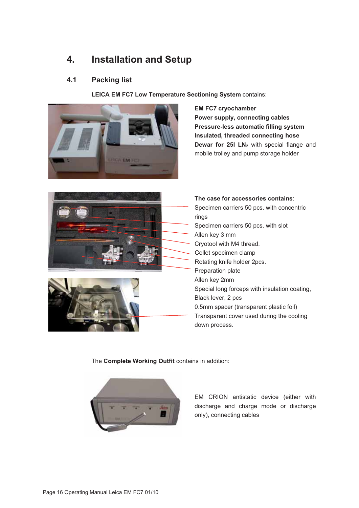## **4. Installation and Setup**

#### **4.1 Packing list**

**LEICA EM FC7 Low Temperature Sectioning System** contains:



**EM FC7 cryochamber Power supply, connecting cables Pressure-less automatic filling system Insulated, threaded connecting hose Dewar for 25I LN<sub>2</sub>** with special flange and mobile trolley and pump storage holder





**The case for accessories contains**: Specimen carriers 50 pcs. with concentric rings Specimen carriers 50 pcs. with slot Allen key 3 mm Cryotool with M4 thread. Collet specimen clamp Rotating knife holder 2pcs. Preparation plate Allen key 2mm Special long forceps with insulation coating, Black lever, 2 pcs 0.5mm spacer (transparent plastic foil) Transparent cover used during the cooling down process.

The **Complete Working Outfit** contains in addition:



EM CRION antistatic device (either with discharge and charge mode or discharge only), connecting cables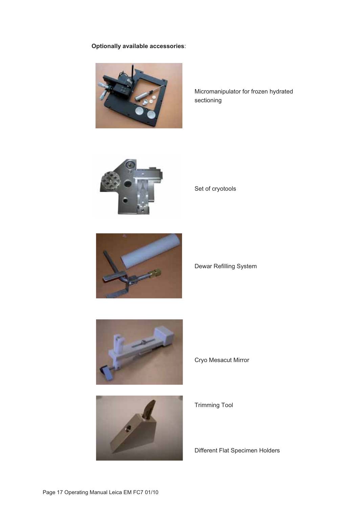#### **Optionally available accessories**:



Micromanipulator for frozen hydrated sectioning



Set of cryotools



Dewar Refilling System



Cryo Mesacut Mirror



Trimming Tool

Different Flat Specimen Holders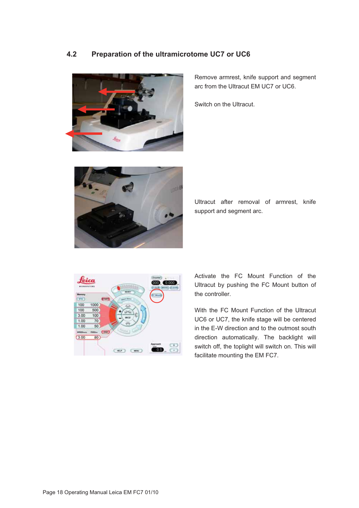#### **4.2 Preparation of the ultramicrotome UC7 or UC6**



Remove armrest, knife support and segment arc from the Ultracut EM UC7 or UC6.

Switch on the Ultracut.



Ultracut after removal of armrest, knife support and segment arc.



Activate the FC Mount Function of the Ultracut by pushing the FC Mount button of the controller.

With the FC Mount Function of the Ultracut UC6 or UC7, the knife stage will be centered in the E-W direction and to the outmost south direction automatically. The backlight will switch off, the toplight will switch on. This will facilitate mounting the EM FC7.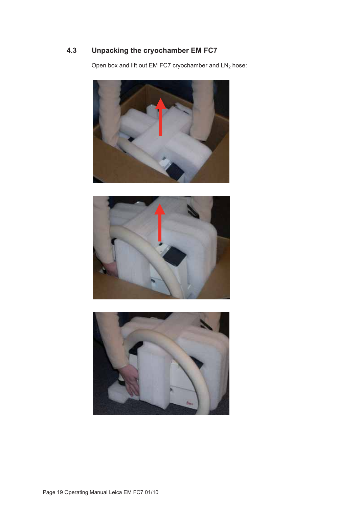### **4.3 Unpacking the cryochamber EM FC7**

Open box and lift out EM FC7 cryochamber and  $LN<sub>2</sub>$  hose:





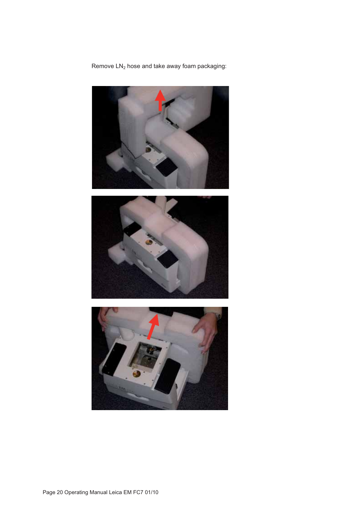Remove  $LN<sub>2</sub>$  hose and take away foam packaging:





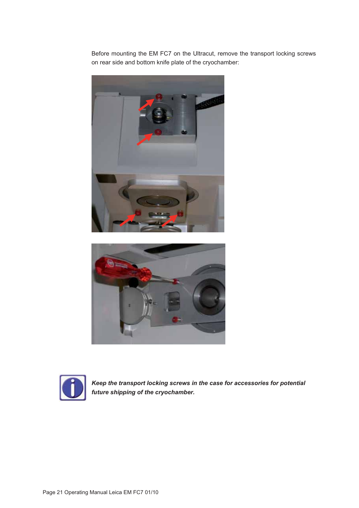Before mounting the EM FC7 on the Ultracut, remove the transport locking screws on rear side and bottom knife plate of the cryochamber:







*Keep the transport locking screws in the case for accessories for potential future shipping of the cryochamber.*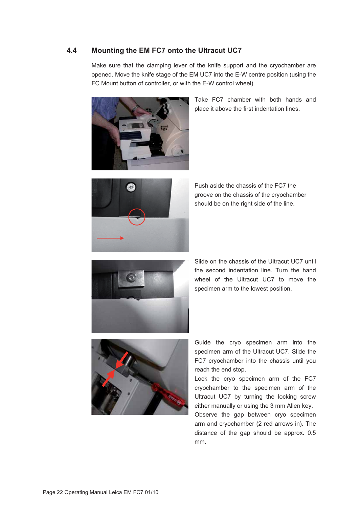#### **4.4 Mounting the EM FC7 onto the Ultracut UC7**

Make sure that the clamping lever of the knife support and the cryochamber are opened. Move the knife stage of the EM UC7 into the E-W centre position (using the FC Mount button of controller, or with the E-W control wheel).



Take FC7 chamber with both hands and place it above the first indentation lines.



Push aside the chassis of the FC7 the groove on the chassis of the cryochamber should be on the right side of the line.



Slide on the chassis of the Ultracut UC7 until the second indentation line. Turn the hand wheel of the Ultracut UC7 to move the specimen arm to the lowest position.



Guide the cryo specimen arm into the specimen arm of the Ultracut UC7. Slide the FC7 cryochamber into the chassis until you reach the end stop.

Lock the cryo specimen arm of the FC7 cryochamber to the specimen arm of the Ultracut UC7 by turning the locking screw either manually or using the 3 mm Allen key.

Observe the gap between cryo specimen arm and cryochamber (2 red arrows in). The distance of the gap should be approx. 0.5 mm.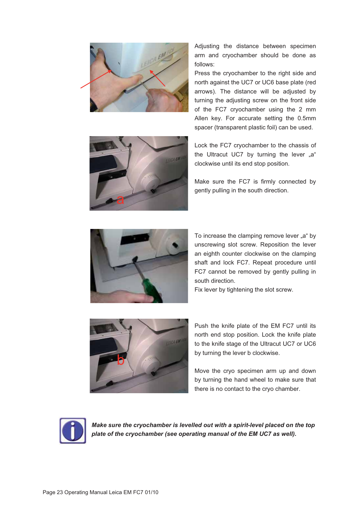

Adjusting the distance between specimen arm and cryochamber should be done as follows:

Press the cryochamber to the right side and north against the UC7 or UC6 base plate (red arrows). The distance will be adjusted by turning the adjusting screw on the front side of the FC7 cryochamber using the 2 mm Allen key. For accurate setting the 0.5mm spacer (transparent plastic foil) can be used.



Lock the FC7 cryochamber to the chassis of the Ultracut UC7 by turning the lever "a" clockwise until its end stop position.

Make sure the FC7 is firmly connected by gently pulling in the south direction.



To increase the clamping remove lever "a" by unscrewing slot screw. Reposition the lever an eighth counter clockwise on the clamping shaft and lock FC7. Repeat procedure until FC7 cannot be removed by gently pulling in south direction.

Fix lever by tightening the slot screw.



Push the knife plate of the EM FC7 until its north end stop position. Lock the knife plate to the knife stage of the Ultracut UC7 or UC6 by turning the lever b clockwise.

Move the cryo specimen arm up and down by turning the hand wheel to make sure that there is no contact to the cryo chamber.



*Make sure the cryochamber is levelled out with a spirit-level placed on the top plate of the cryochamber (see operating manual of the EM UC7 as well).*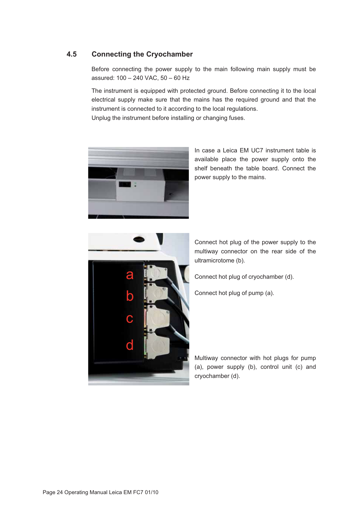#### **4.5 Connecting the Cryochamber**

Before connecting the power supply to the main following main supply must be assured: 100 – 240 VAC, 50 – 60 Hz

The instrument is equipped with protected ground. Before connecting it to the local electrical supply make sure that the mains has the required ground and that the instrument is connected to it according to the local regulations.

Unplug the instrument before installing or changing fuses.



In case a Leica EM UC7 instrument table is available place the power supply onto the shelf beneath the table board. Connect the power supply to the mains.



Connect hot plug of the power supply to the multiway connector on the rear side of the ultramicrotome (b).

Connect hot plug of cryochamber (d).

Connect hot plug of pump (a).

Multiway connector with hot plugs for pump (a), power supply (b), control unit (c) and cryochamber (d).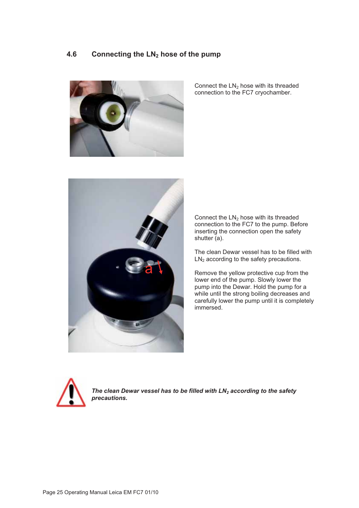#### **4.6 Connecting the LN2 hose of the pump**



Connect the  $LN<sub>2</sub>$  hose with its threaded connection to the FC7 cryochamber.



Connect the  $LN<sub>2</sub>$  hose with its threaded connection to the FC7 to the pump. Before inserting the connection open the safety shutter (a).

The clean Dewar vessel has to be filled with  $LN<sub>2</sub>$  according to the safety precautions.

Remove the yellow protective cup from the lower end of the pump. Slowly lower the pump into the Dewar. Hold the pump for a while until the strong boiling decreases and carefully lower the pump until it is completely immersed.



The clean Dewar vessel has to be filled with LN<sub>2</sub> according to the safety *precautions.*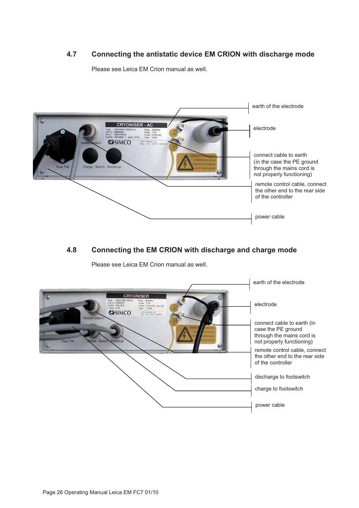#### **4.7 Connecting the antistatic device EM CRION with discharge mode**

Please see Leica EM Crion manual as well.



#### **4.8 Connecting the EM CRION with discharge and charge mode**

Please see Leica EM Crion manual as well.

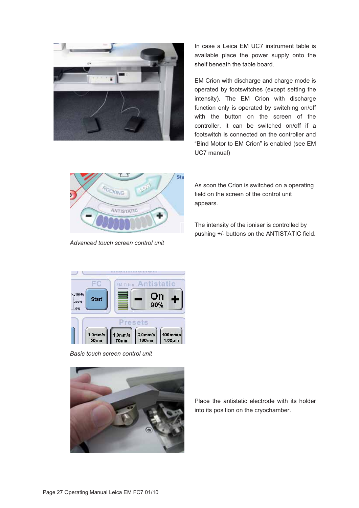

In case a Leica EM UC7 instrument table is available place the power supply onto the shelf beneath the table board.

EM Crion with discharge and charge mode is operated by footswitches (except setting the intensity). The EM Crion with discharge function only is operated by switching on/off with the button on the screen of the controller, it can be switched on/off if a footswitch is connected on the controller and "Bind Motor to EM Crion" is enabled (see EM UC7 manual)



*Advanced touch screen control unit* 

As soon the Crion is switched on a operating field on the screen of the control unit appears.

The intensity of the ioniser is controlled by pushing +/- buttons on the ANTISTATIC field.



*Basic touch screen control unit*



Place the antistatic electrode with its holder into its position on the cryochamber.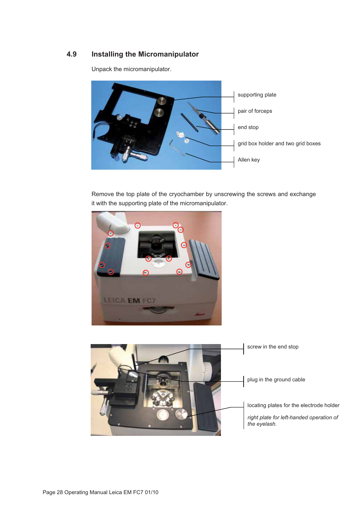#### **4.9 Installing the Micromanipulator**

Unpack the micromanipulator.



Remove the top plate of the cryochamber by unscrewing the screws and exchange it with the supporting plate of the micromanipulator.



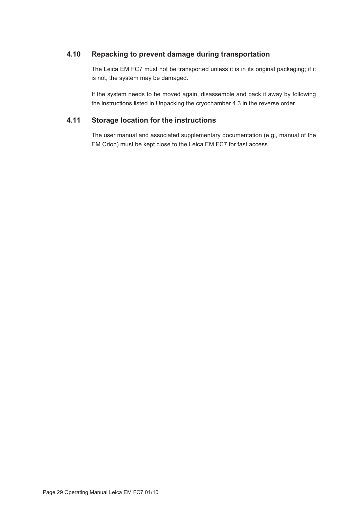#### **4.10 Repacking to prevent damage during transportation**

The Leica EM FC7 must not be transported unless it is in its original packaging; if it is not, the system may be damaged.

If the system needs to be moved again, disassemble and pack it away by following the instructions listed in Unpacking the cryochamber 4.3 in the reverse order.

#### **4.11 Storage location for the instructions**

The user manual and associated supplementary documentation (e.g., manual of the EM Crion) must be kept close to the Leica EM FC7 for fast access.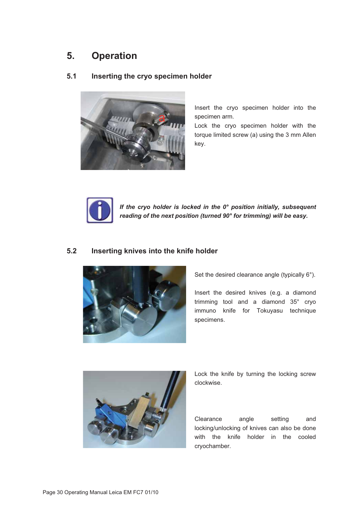## **5. Operation**

#### **5.1 Inserting the cryo specimen holder**



Insert the cryo specimen holder into the specimen arm.

Lock the cryo specimen holder with the torque limited screw (a) using the 3 mm Allen key.



*If the cryo holder is locked in the 0° position initially, subsequent reading of the next position (turned 90° for trimming) will be easy.* 

#### **5.2 Inserting knives into the knife holder**



Set the desired clearance angle (typically 6°).

Insert the desired knives (e.g. a diamond trimming tool and a diamond 35° cryo immuno knife for Tokuyasu technique specimens.



Lock the knife by turning the locking screw clockwise.

Clearance angle setting and locking/unlocking of knives can also be done with the knife holder in the cooled cryochamber.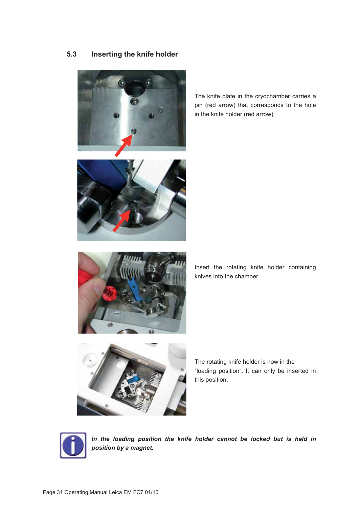#### **5.3 Inserting the knife holder**



The knife plate in the cryochamber carries a pin (red arrow) that corresponds to the hole in the knife holder (red arrow).





Insert the rotating knife holder containing knives into the chamber.



The rotating knife holder is now in the "loading position". It can only be inserted in this position.



*In the loading position the knife holder cannot be locked but is held in position by a magnet.*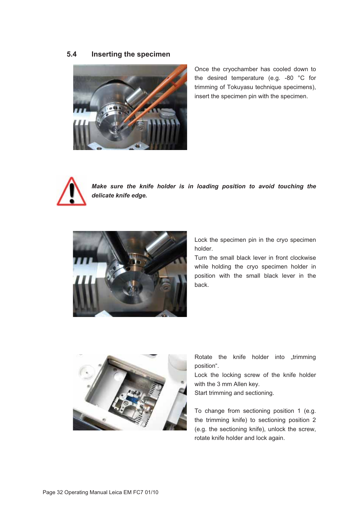#### **5.4 Inserting the specimen**



Once the cryochamber has cooled down to the desired temperature (e.g. -80 °C for trimming of Tokuyasu technique specimens), insert the specimen pin with the specimen.



*Make sure the knife holder is in loading position to avoid touching the delicate knife edge.* 



Lock the specimen pin in the cryo specimen holder.

Turn the small black lever in front clockwise while holding the cryo specimen holder in position with the small black lever in the back.



Rotate the knife holder into "trimming position".

Lock the locking screw of the knife holder with the 3 mm Allen key.

Start trimming and sectioning.

To change from sectioning position 1 (e.g. the trimming knife) to sectioning position 2 (e.g. the sectioning knife), unlock the screw, rotate knife holder and lock again.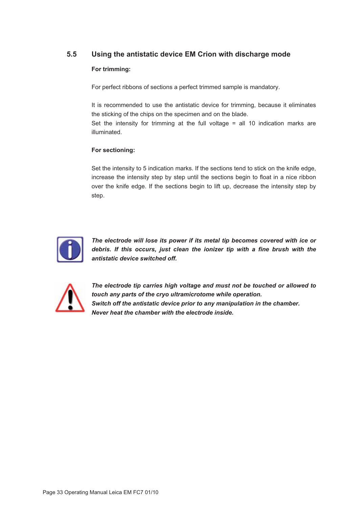#### **5.5 Using the antistatic device EM Crion with discharge mode**

#### **For trimming:**

For perfect ribbons of sections a perfect trimmed sample is mandatory.

It is recommended to use the antistatic device for trimming, because it eliminates the sticking of the chips on the specimen and on the blade. Set the intensity for trimming at the full voltage  $=$  all 10 indication marks are

#### **For sectioning:**

illuminated.

Set the intensity to 5 indication marks. If the sections tend to stick on the knife edge, increase the intensity step by step until the sections begin to float in a nice ribbon over the knife edge. If the sections begin to lift up, decrease the intensity step by step.



*The electrode will lose its power if its metal tip becomes covered with ice or debris. If this occurs, just clean the ionizer tip with a fine brush with the antistatic device switched off.* 



*The electrode tip carries high voltage and must not be touched or allowed to touch any parts of the cryo ultramicrotome while operation. Switch off the antistatic device prior to any manipulation in the chamber. Never heat the chamber with the electrode inside.*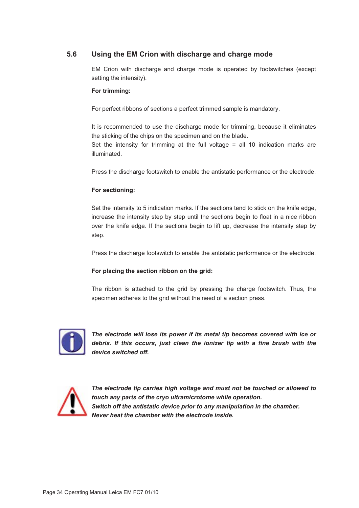#### **5.6 Using the EM Crion with discharge and charge mode**

EM Crion with discharge and charge mode is operated by footswitches (except setting the intensity).

#### **For trimming:**

For perfect ribbons of sections a perfect trimmed sample is mandatory.

It is recommended to use the discharge mode for trimming, because it eliminates the sticking of the chips on the specimen and on the blade. Set the intensity for trimming at the full voltage  $=$  all 10 indication marks are illuminated.

Press the discharge footswitch to enable the antistatic performance or the electrode.

#### **For sectioning:**

Set the intensity to 5 indication marks. If the sections tend to stick on the knife edge, increase the intensity step by step until the sections begin to float in a nice ribbon over the knife edge. If the sections begin to lift up, decrease the intensity step by step.

Press the discharge footswitch to enable the antistatic performance or the electrode.

#### **For placing the section ribbon on the grid:**

The ribbon is attached to the grid by pressing the charge footswitch. Thus, the specimen adheres to the grid without the need of a section press.



*The electrode will lose its power if its metal tip becomes covered with ice or debris. If this occurs, just clean the ionizer tip with a fine brush with the device switched off.* 



*The electrode tip carries high voltage and must not be touched or allowed to touch any parts of the cryo ultramicrotome while operation. Switch off the antistatic device prior to any manipulation in the chamber. Never heat the chamber with the electrode inside.*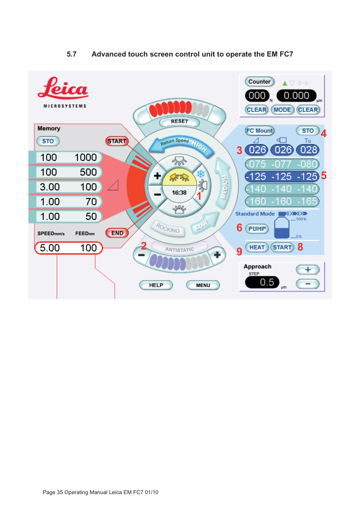

#### **5.7 Advanced touch screen control unit to operate the EM FC7**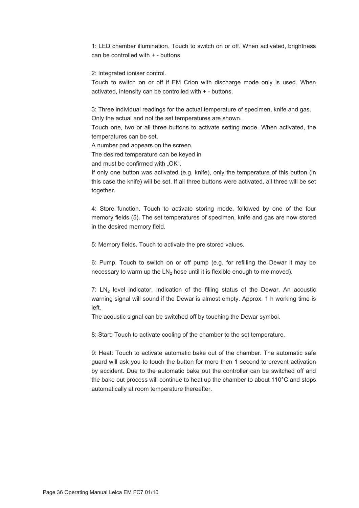1: LED chamber illumination. Touch to switch on or off. When activated, brightness can be controlled with + - buttons.

2: Integrated ioniser control.

Touch to switch on or off if EM Crion with discharge mode only is used. When activated, intensity can be controlled with + - buttons.

3: Three individual readings for the actual temperature of specimen, knife and gas. Only the actual and not the set temperatures are shown.

Touch one, two or all three buttons to activate setting mode. When activated, the temperatures can be set.

A number pad appears on the screen.

The desired temperature can be keyed in

and must be confirmed with "OK".

If only one button was activated (e.g. knife), only the temperature of this button (in this case the knife) will be set. If all three buttons were activated, all three will be set together.

4: Store function. Touch to activate storing mode, followed by one of the four memory fields (5). The set temperatures of specimen, knife and gas are now stored in the desired memory field.

5: Memory fields. Touch to activate the pre stored values.

6: Pump. Touch to switch on or off pump (e.g. for refilling the Dewar it may be necessary to warm up the  $LN<sub>2</sub>$  hose until it is flexible enough to me moved).

7:  $LN<sub>2</sub>$  level indicator. Indication of the filling status of the Dewar. An acoustic warning signal will sound if the Dewar is almost empty. Approx. 1 h working time is left.

The acoustic signal can be switched off by touching the Dewar symbol.

8: Start: Touch to activate cooling of the chamber to the set temperature.

9: Heat: Touch to activate automatic bake out of the chamber. The automatic safe guard will ask you to touch the button for more then 1 second to prevent activation by accident. Due to the automatic bake out the controller can be switched off and the bake out process will continue to heat up the chamber to about 110°C and stops automatically at room temperature thereafter.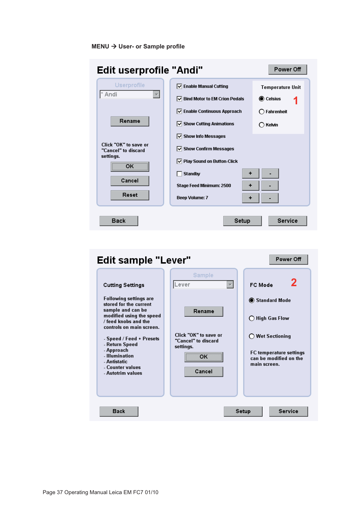#### **MENU → User- or Sample profile**

| <b>Edit userprofile "Andi"</b><br>Power Off                                        |                                                                                                                                                                            |                                             |  |  |  |  |  |
|------------------------------------------------------------------------------------|----------------------------------------------------------------------------------------------------------------------------------------------------------------------------|---------------------------------------------|--|--|--|--|--|
| Userprofile<br>Andi                                                                | $\boxed{\smile}$ Enable Manual Cutting<br><b>Bind Motor to EM Crion Pedals</b><br>ы                                                                                        | <b>Temperature Unit</b><br><b>O</b> Celsius |  |  |  |  |  |
| Rename                                                                             | $\triangledown$ Enable Continuous Approach<br>$\triangledown$ Show Cutting Animations<br>$\triangledown$ Show Info Messages                                                | $\bigcap$ Fahrenheit<br>$\bigcap$ Kelvin    |  |  |  |  |  |
| Click "OK" to save or<br>"Cancel" to discard<br>settings.<br>ОΚ<br>Cancel<br>Reset | $\triangledown$ Show Confirm Messages<br>$\boxed{\smile}$ Play Sound on Button-Click<br><b>Standby</b><br>٠<br>Stage Feed Minimum: 2500<br>٠<br><b>Beep Volume: 7</b><br>+ |                                             |  |  |  |  |  |
| <b>Back</b>                                                                        | Setup                                                                                                                                                                      | Service                                     |  |  |  |  |  |

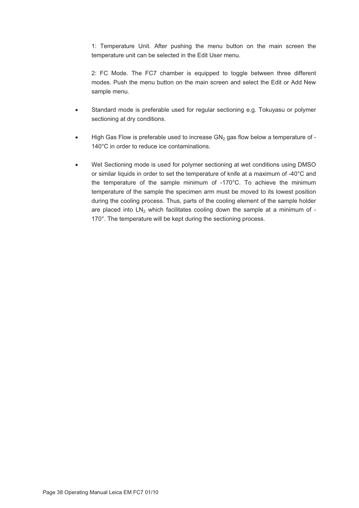1: Temperature Unit. After pushing the menu button on the main screen the temperature unit can be selected in the Edit User menu.

2: FC Mode. The FC7 chamber is equipped to toggle between three different modes. Push the menu button on the main screen and select the Edit or Add New sample menu.

- - Standard mode is preferable used for regular sectioning e.g. Tokuyasu or polymer sectioning at dry conditions.
- -High Gas Flow is preferable used to increase  $GN_2$  gas flow below a temperature of -140°C in order to reduce ice contaminations.
- - Wet Sectioning mode is used for polymer sectioning at wet conditions using DMSO or similar liquids in order to set the temperature of knife at a maximum of -40°C and the temperature of the sample minimum of -170°C. To achieve the minimum temperature of the sample the specimen arm must be moved to its lowest position during the cooling process. Thus, parts of the cooling element of the sample holder are placed into  $LN_2$  which facilitates cooling down the sample at a minimum of -170°. The temperature will be kept during the sectioning process.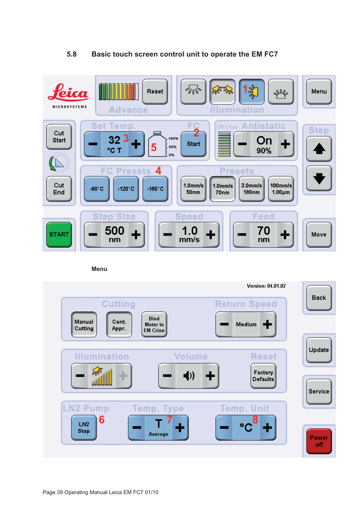#### **5.8 Basic touch screen control unit to operate the EM FC7**



**Menu** 

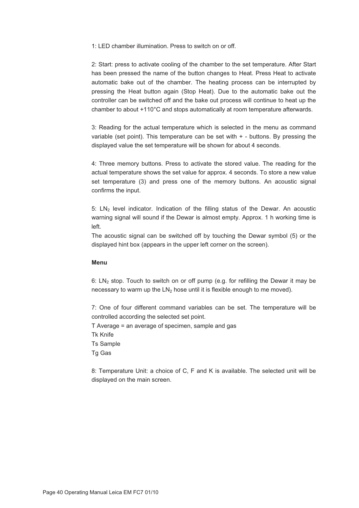1: LED chamber illumination. Press to switch on or off.

2: Start: press to activate cooling of the chamber to the set temperature. After Start has been pressed the name of the button changes to Heat. Press Heat to activate automatic bake out of the chamber. The heating process can be interrupted by pressing the Heat button again (Stop Heat). Due to the automatic bake out the controller can be switched off and the bake out process will continue to heat up the chamber to about +110°C and stops automatically at room temperature afterwards.

3: Reading for the actual temperature which is selected in the menu as command variable (set point). This temperature can be set with + - buttons. By pressing the displayed value the set temperature will be shown for about 4 seconds.

4: Three memory buttons. Press to activate the stored value. The reading for the actual temperature shows the set value for approx. 4 seconds. To store a new value set temperature (3) and press one of the memory buttons. An acoustic signal confirms the input.

5:  $LN<sub>2</sub>$  level indicator. Indication of the filling status of the Dewar. An acoustic warning signal will sound if the Dewar is almost empty. Approx. 1 h working time is left.

The acoustic signal can be switched off by touching the Dewar symbol (5) or the displayed hint box (appears in the upper left corner on the screen).

#### **Menu**

6:  $LN_2$  stop. Touch to switch on or off pump (e.g. for refilling the Dewar it may be necessary to warm up the  $LN<sub>2</sub>$  hose until it is flexible enough to me moved).

7: One of four different command variables can be set. The temperature will be controlled according the selected set point.

T Average = an average of specimen, sample and gas

Tk Knife

Ts Sample

Tg Gas

8: Temperature Unit: a choice of C, F and K is available. The selected unit will be displayed on the main screen.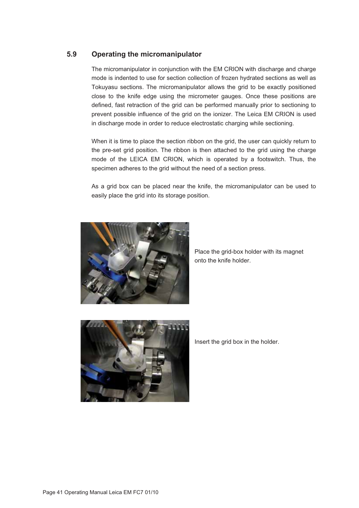#### **5.9 Operating the micromanipulator**

The micromanipulator in conjunction with the EM CRION with discharge and charge mode is indented to use for section collection of frozen hydrated sections as well as Tokuyasu sections. The micromanipulator allows the grid to be exactly positioned close to the knife edge using the micrometer gauges. Once these positions are defined, fast retraction of the grid can be performed manually prior to sectioning to prevent possible influence of the grid on the ionizer. The Leica EM CRION is used in discharge mode in order to reduce electrostatic charging while sectioning.

When it is time to place the section ribbon on the grid, the user can quickly return to the pre-set grid position. The ribbon is then attached to the grid using the charge mode of the LEICA EM CRION, which is operated by a footswitch. Thus, the specimen adheres to the grid without the need of a section press.

As a grid box can be placed near the knife, the micromanipulator can be used to easily place the grid into its storage position.



Place the grid-box holder with its magnet onto the knife holder.



Insert the grid box in the holder.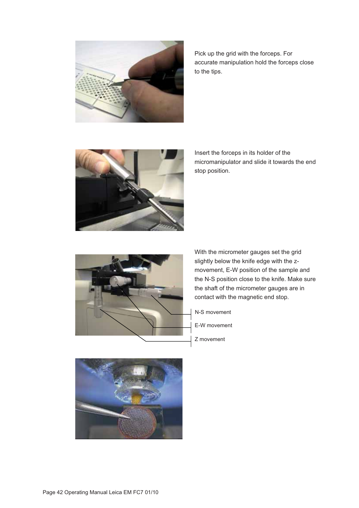

Pick up the grid with the forceps. For accurate manipulation hold the forceps close to the tips.



Insert the forceps in its holder of the micromanipulator and slide it towards the end stop position.



With the micrometer gauges set the grid slightly below the knife edge with the zmovement, E-W position of the sample and the N-S position close to the knife. Make sure the shaft of the micrometer gauges are in contact with the magnetic end stop.

- N-S movement
- E-W movement
- Z movement

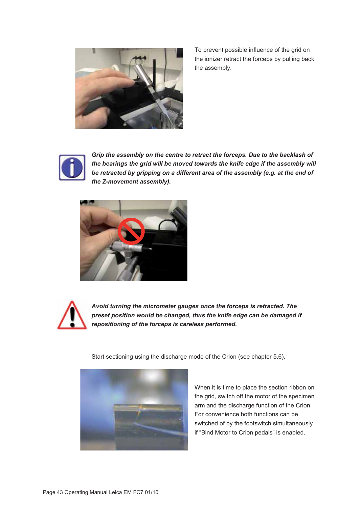

To prevent possible influence of the grid on the ionizer retract the forceps by pulling back the assembly.



*Grip the assembly on the centre to retract the forceps. Due to the backlash of the bearings the grid will be moved towards the knife edge if the assembly will be retracted by gripping on a different area of the assembly (e.g. at the end of the Z-movement assembly).* 





*Avoid turning the micrometer gauges once the forceps is retracted. The preset position would be changed, thus the knife edge can be damaged if repositioning of the forceps is careless performed.* 

Start sectioning using the discharge mode of the Crion (see chapter 5.6).



When it is time to place the section ribbon on the grid, switch off the motor of the specimen arm and the discharge function of the Crion. For convenience both functions can be switched of by the footswitch simultaneously if "Bind Motor to Crion pedals" is enabled.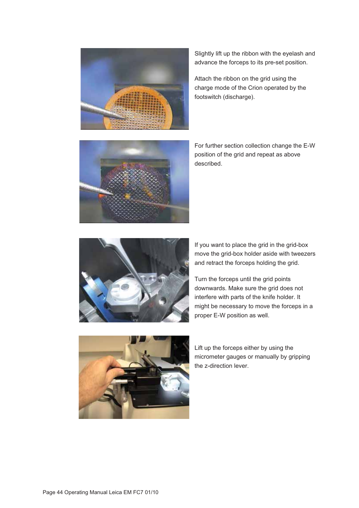



Attach the ribbon on the grid using the charge mode of the Crion operated by the footswitch (discharge).

For further section collection change the E-W position of the grid and repeat as above described.





If you want to place the grid in the grid-box move the grid-box holder aside with tweezers and retract the forceps holding the grid.

Turn the forceps until the grid points downwards. Make sure the grid does not interfere with parts of the knife holder. It might be necessary to move the forceps in a proper E-W position as well.



Lift up the forceps either by using the micrometer gauges or manually by gripping the z-direction lever.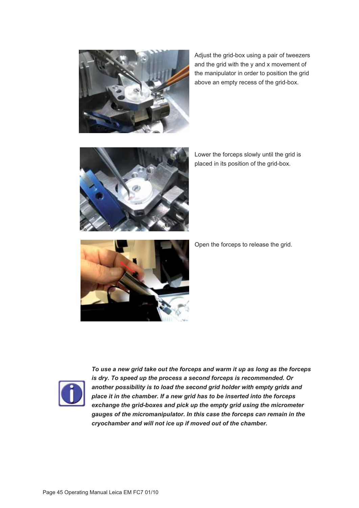

Adjust the grid-box using a pair of tweezers and the grid with the y and x movement of the manipulator in order to position the grid above an empty recess of the grid-box.



Lower the forceps slowly until the grid is placed in its position of the grid-box.



Open the forceps to release the grid.



*To use a new grid take out the forceps and warm it up as long as the forceps is dry. To speed up the process a second forceps is recommended. Or another possibility is to load the second grid holder with empty grids and place it in the chamber. If a new grid has to be inserted into the forceps exchange the grid-boxes and pick up the empty grid using the micrometer gauges of the micromanipulator. In this case the forceps can remain in the cryochamber and will not ice up if moved out of the chamber.*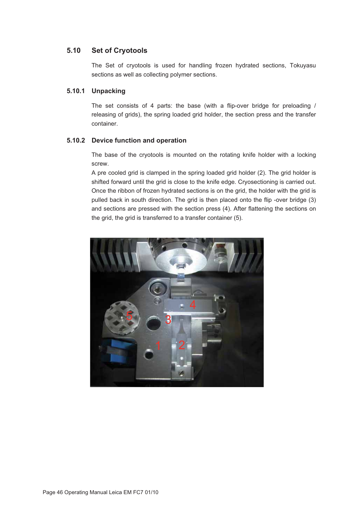#### **5.10 Set of Cryotools**

The Set of cryotools is used for handling frozen hydrated sections, Tokuyasu sections as well as collecting polymer sections.

#### **5.10.1 Unpacking**

The set consists of 4 parts: the base (with a flip-over bridge for preloading / releasing of grids), the spring loaded grid holder, the section press and the transfer container.

#### **5.10.2 Device function and operation**

The base of the cryotools is mounted on the rotating knife holder with a locking screw.

A pre cooled grid is clamped in the spring loaded grid holder (2). The grid holder is shifted forward until the grid is close to the knife edge. Cryosectioning is carried out. Once the ribbon of frozen hydrated sections is on the grid, the holder with the grid is pulled back in south direction. The grid is then placed onto the flip -over bridge (3) and sections are pressed with the section press (4). After flattening the sections on the grid, the grid is transferred to a transfer container (5).

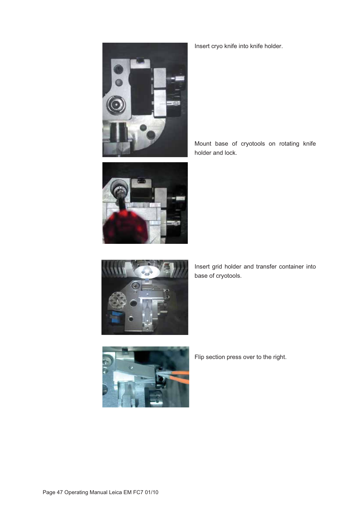

Insert cryo knife into knife holder.

Mount base of cryotools on rotating knife holder and lock.



Insert grid holder and transfer container into base of cryotools.



Flip section press over to the right.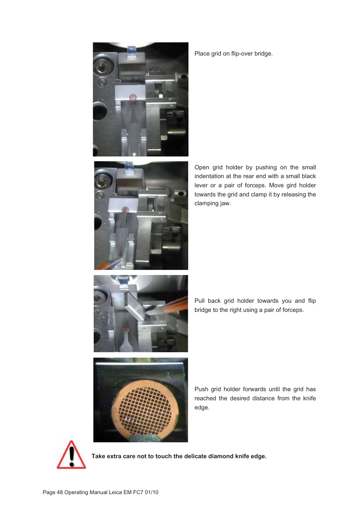



Place grid on flip-over bridge.

Open grid holder by pushing on the small indentation at the rear end with a small black lever or a pair of forceps. Move gird holder towards the grid and clamp it by releasing the clamping jaw.



Pull back grid holder towards you and flip bridge to the right using a pair of forceps.



Push grid holder forwards until the grid has reached the desired distance from the knife edge.



**Take extra care not to touch the delicate diamond knife edge.**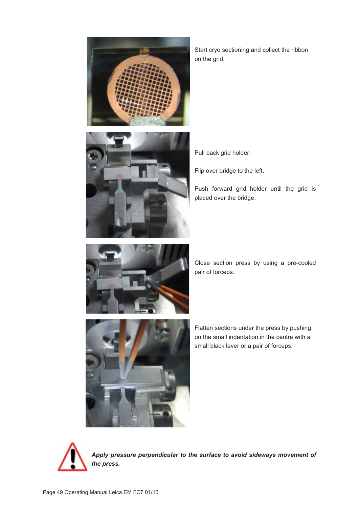

Start cryo sectioning and collect the ribbon on the grid.



Pull back grid holder.

Flip over bridge to the left.

Push forward grid holder until the grid is placed over the bridge.



Close section press by using a pre-cooled pair of forceps.



Flatten sections under the press by pushing on the small indentation in the centre with a small black lever or a pair of forceps.



*Apply pressure perpendicular to the surface to avoid sideways movement of the press.*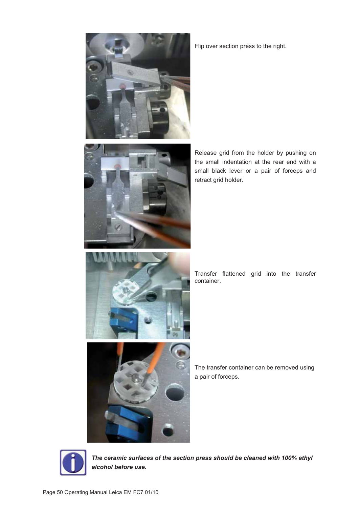



Release grid from the holder by pushing on the small indentation at the rear end with a small black lever or a pair of forceps and retract grid holder.



Transfer flattened grid into the transfer container.



The transfer container can be removed using a pair of forceps.



*The ceramic surfaces of the section press should be cleaned with 100% ethyl alcohol before use.*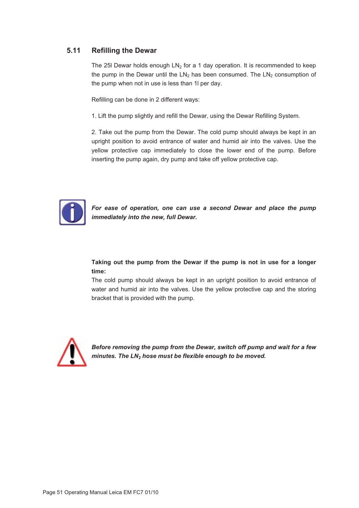#### **5.11 Refilling the Dewar**

The 25I Dewar holds enough  $LN_2$  for a 1 day operation. It is recommended to keep the pump in the Dewar until the  $LN<sub>2</sub>$  has been consumed. The  $LN<sub>2</sub>$  consumption of the pump when not in use is less than 1l per day.

Refilling can be done in 2 different ways:

1. Lift the pump slightly and refill the Dewar, using the Dewar Refilling System.

2. Take out the pump from the Dewar. The cold pump should always be kept in an upright position to avoid entrance of water and humid air into the valves. Use the yellow protective cap immediately to close the lower end of the pump. Before inserting the pump again, dry pump and take off yellow protective cap.



*For ease of operation, one can use a second Dewar and place the pump immediately into the new, full Dewar.* 

#### **Taking out the pump from the Dewar if the pump is not in use for a longer time:**

The cold pump should always be kept in an upright position to avoid entrance of water and humid air into the valves. Use the yellow protective cap and the storing bracket that is provided with the pump.



*Before removing the pump from the Dewar, switch off pump and wait for a few minutes. The LN2 hose must be flexible enough to be moved.*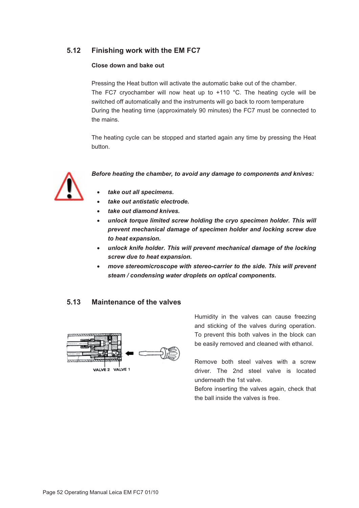#### **5.12 Finishing work with the EM FC7**

#### **Close down and bake out**

Pressing the Heat button will activate the automatic bake out of the chamber. The FC7 cryochamber will now heat up to  $+110$  °C. The heating cycle will be switched off automatically and the instruments will go back to room temperature During the heating time (approximately 90 minutes) the FC7 must be connected to the mains.

The heating cycle can be stopped and started again any time by pressing the Heat button.



*Before heating the chamber, to avoid any damage to components and knives:* 

- *take out all specimens.*
- *take out antistatic electrode.*
- *take out diamond knives.*
- *unlock torque limited screw holding the cryo specimen holder. This will prevent mechanical damage of specimen holder and locking screw due to heat expansion.*
- $\bullet$  unlock knife holder. This will prevent mechanical damage of the locking *screw due to heat expansion.*
- *move stereomicroscope with stereo-carrier to the side. This will prevent steam / condensing water droplets on optical components.*

#### **5.13 Maintenance of the valves**



Humidity in the valves can cause freezing and sticking of the valves during operation. To prevent this both valves in the block can be easily removed and cleaned with ethanol.

Remove both steel valves with a screw driver. The 2nd steel valve is located underneath the 1st valve.

Before inserting the valves again, check that the ball inside the valves is free.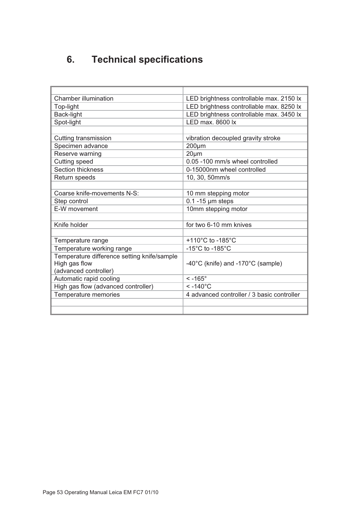## **6. Technical specifications**

| Chamber illumination                        | LED brightness controllable max. 2150 lx   |  |
|---------------------------------------------|--------------------------------------------|--|
| Top-light                                   | LED brightness controllable max. 8250 lx   |  |
| Back-light                                  | LED brightness controllable max. 3450 lx   |  |
| Spot-light                                  | $LED$ max, 8600 $\overline{x}$             |  |
|                                             |                                            |  |
| Cutting transmission                        | vibration decoupled gravity stroke         |  |
| Specimen advance                            | $200 \mu m$                                |  |
| Reserve warning                             | $20 \mu m$                                 |  |
| Cutting speed                               | 0.05 -100 mm/s wheel controlled            |  |
| Section thickness                           | 0-15000nm wheel controlled                 |  |
| Return speeds                               | 10, 30, 50mm/s                             |  |
|                                             |                                            |  |
| Coarse knife-movements N-S:                 | 10 mm stepping motor                       |  |
| Step control                                | $0.1 - 15$ µm steps                        |  |
| E-W movement                                | 10mm stepping motor                        |  |
|                                             |                                            |  |
| Knife holder                                | for two 6-10 mm knives                     |  |
|                                             |                                            |  |
| Temperature range                           | +110°C to -185°C                           |  |
| Temperature working range                   | -15 $^{\circ}$ C to -185 $^{\circ}$ C      |  |
| Temperature difference setting knife/sample |                                            |  |
| High gas flow                               | -40°C (knife) and -170°C (sample)          |  |
| (advanced controller)                       |                                            |  |
| Automatic rapid cooling                     | $< -165^\circ$                             |  |
| High gas flow (advanced controller)         | $< -140^{\circ}$ C                         |  |
| Temperature memories                        | 4 advanced controller / 3 basic controller |  |
|                                             |                                            |  |
|                                             |                                            |  |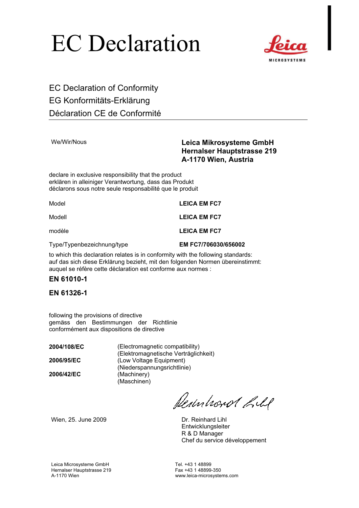# EC Declaration



EC Declaration of Conformity EG Konformitäts-Erklärung Déclaration CE de Conformité

#### We/Wir/Nous **Leica Mikrosysteme GmbH Hernalser Hauptstrasse 219 A-1170 Wien, Austria**

declare in exclusive responsibility that the product erklären in alleiniger Verantwortung, dass das Produkt déclarons sous notre seule responsabilité que le produit

Model **LEICA EM FC7** 

Modell **LEICA EM FC7** 

modèle **LEICA EM FC7** 

Type/Typenbezeichnung/type **EM FC7/706030/656002** 

to which this declaration relates is in conformity with the following standards: auf das sich diese Erklärung bezieht, mit den folgenden Normen übereinstimmt: auquel se réfère cette déclaration est conforme aux normes :

#### **EN 61010-1**

#### **EN 61326-1**

following the provisions of directive gemäss den Bestimmungen der Richtlinie conformément aux dispositions de directive

**2006/42/EC** (Machinery)

**2004/108/EC** (Electromagnetic compatibility) (Elektromagnetische Verträglichkeit) **2006/95/EC** (Low Voltage Equipment) (Niederspannungsrichtlinie) (Maschinen)

Permisonal held

Wien, 25. June 2009 Dr. Reinhard Lihl

**Entwicklungsleiter** R & D Manager Chef du service développement

Leica Microsysteme GmbH<br>
Hernalser Hauptstrasse 219 Tel. +43 1 48899-350 Hernalser Hauptstrasse 219<br>A-1170 Wien

www.leica-microsystems.com